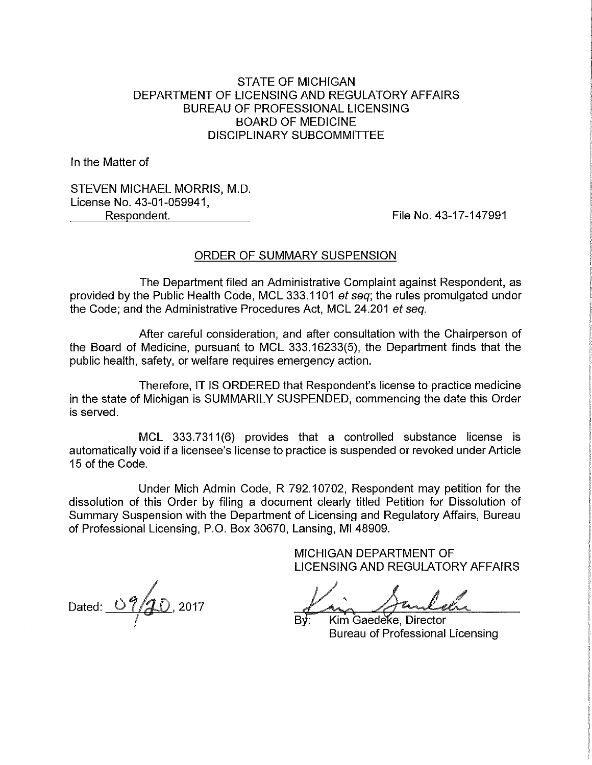# STATE OF MICHIGAN DEPARTMENT OF LICENSING AND REGULATORY AFFAIRS BUREAU OF PROFESSIONAL LICENSING BOARD OF MEDICINE DISCIPLINARY SUBCOMMITTEE

In the Matter of

STEVEN MICHAEL MORRIS, M.D. License No. 43-01-059941, Respondent. The No. 43-17-147991

#### ORDER OF SUMMARY SUSPENSION

The Department filed an Administrative Complaint against Respondent, as provided by the Public Health Code, MCL 333.1101 et seq; the rules promulgated under the Code; and the Administrative Procedures Act, MCL 24.201 et seq.

After careful consideration, and after consultation with the Chairperson of the Board of Medicine, pursuant to MCL 333.16233(5), the Department finds that the public health, safety, or welfare requires emergency action.

Therefore, IT IS ORDERED that Respondent's license to practice medicine in the state of Michigan is SUMMARILY SUSPENDED, commencing the date this Order is served.

MCL 333.7311(6) provides that a controlled substance license is automatically void if a licensee's license to practice is suspended or revoked under Article 15 of the Code.

Under Mich Admin Code, R 792.10702, Respondent may petition for the dissolution of this Order by filing a document clearly titled Petition for Dissolution of Summary Suspension with the Department of Licensing and Regulatory Affairs, Bureau of Professional Licensing, P.O. Box 30670, Lansing, Ml 48909.

Dated:  $\frac{0}{7}$ 

MICHIGAN DEPARTMENT OF LICENSING AND REGULATORY AFFAIRS

 $By:$  Kim Gaede ke, Director Bureau of Professional Licensing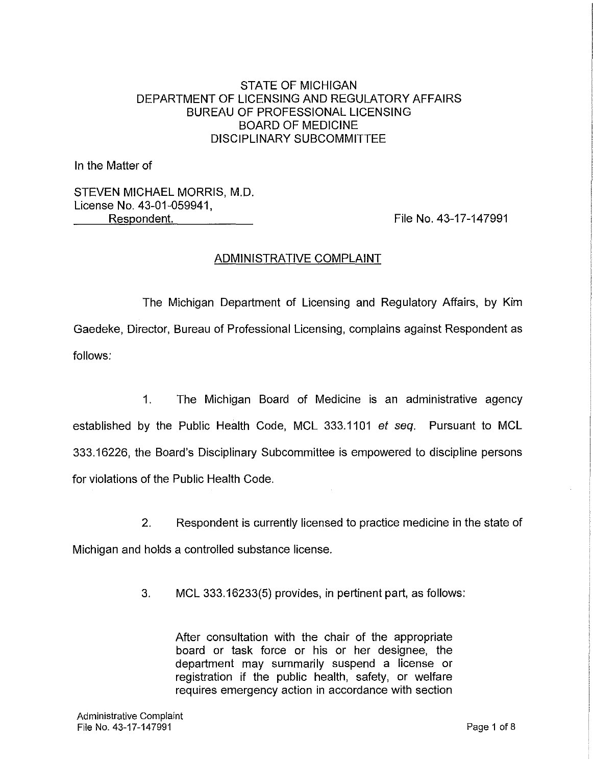# STATE OF MICHIGAN DEPARTMENT OF LICENSING AND REGULATORY AFFAIRS BUREAU OF PROFESSIONAL LICENSING BOARD OF MEDICINE DISCIPLINARY SUBCOMMITTEE

In the Matter of

STEVEN MICHAEL MORRIS, M.D. License No. 43-01-059941, Respondent. File No. 43-17-147991

# ADMINISTRATIVE COMPLAINT

The Michigan Department of Licensing and Regulatory Affairs, by Kim Gaedeke, Director, Bureau of Professional Licensing, complains against Respondent as follows:

1. The Michigan Board of Medicine is an administrative agency established by the Public Health Code, MCL 333.1101 et seq. Pursuant to MCL 333.16226, the Board's Disciplinary Subcommittee is empowered to discipline persons for violations of the Public Health Code.

2. Respondent is currently licensed to practice medicine in the state of Michigan and holds a controlled substance license.

3. MCL 333.16233(5) provides, in pertinent part, as follows:

After consultation with the chair of the appropriate board or task force or his or her designee, the department may summarily suspend a license or registration if the public health, safety, or welfare requires emergency action in accordance with section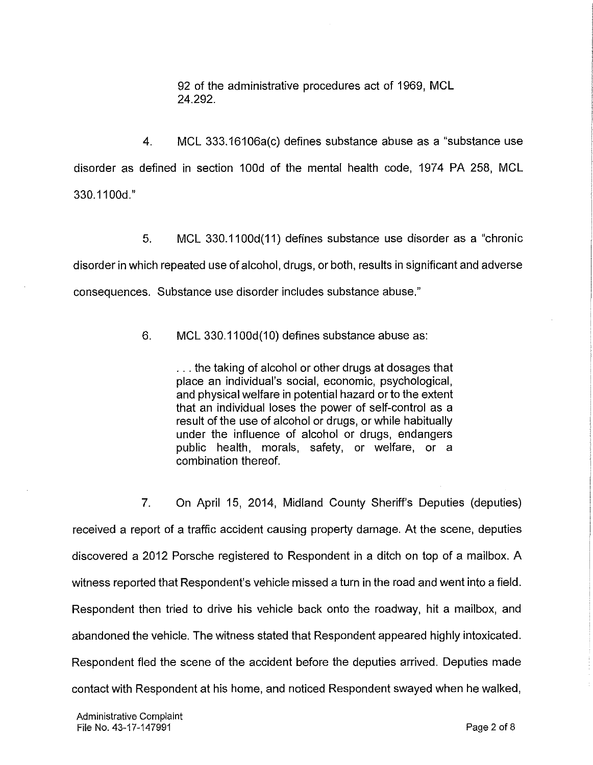92 of the administrative procedures act of 1969, MCL 24.292.

4. MCL 333.16106a(c) defines substance abuse as a "substance use disorder as defined in section 100d of the mental health code, 1974 PA 258, MCL 330.11 OOd."

5. MCL 330.1100d(11) defines substance use disorder as a "chronic disorder in which repeated use of alcohol, drugs, or both, results in significant and adverse consequences. Substance use disorder includes substance abuse."

6. MCL 330.1100d(10) defines substance abuse as:

... the taking of alcohol or other drugs at dosages that place an individual's social, economic, psychological, and physical welfare in potential hazard or to the extent that an individual loses the power of self-control as a result of the use of alcohol or drugs, or while habitually under the influence of alcohol or drugs, endangers public health, morals, safety, or welfare, or a combination thereof.

7. On April 15, 2014, Midland County Sheriff's Deputies (deputies) received a report of a traffic accident causing property damage. At the scene, deputies discovered a 2012 Porsche registered to Respondent in a ditch on top of a mailbox. A witness reported that Respondent's vehicle missed a turn in the road and went into a field. Respondent then tried to drive his vehicle back onto the roadway, hit a mailbox, and abandoned the vehicle. The witness stated that Respondent appeared highly intoxicated. Respondent fled the scene of the accident before the deputies arrived. Deputies made contact with Respondent at his home, and noticed Respondent swayed when he walked,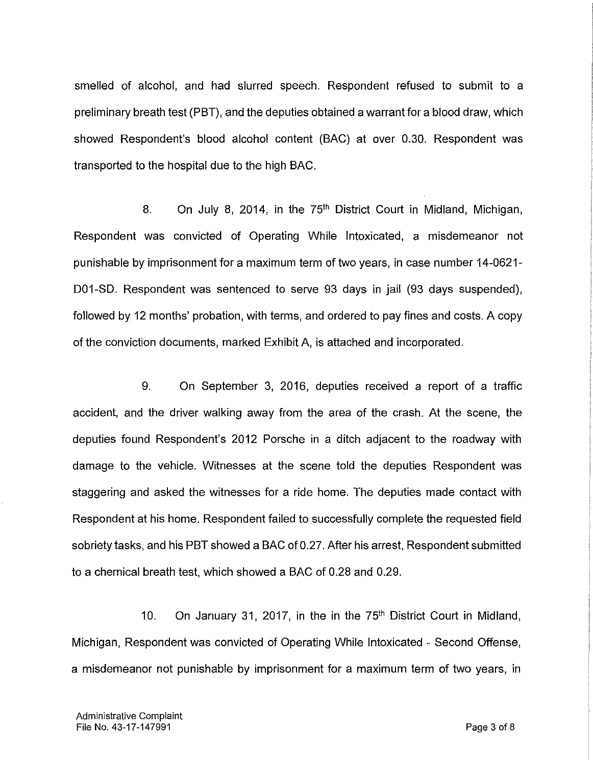smelled of alcohol, and had slurred speech. Respondent refused to submit to a preliminary breath test (PBT), and the deputies obtained a warrant for a blood draw, which showed Respondent's blood alcohol content (BAC) at over 0.30. Respondent was transported to the hospital due to the high BAC.

8. On July 8, 2014, in the 75<sup>th</sup> District Court in Midland, Michigan, Respondent was convicted of Operating While Intoxicated, a misdemeanor not punishable by imprisonment for a maximum term of two years, in case number 14-0621 001-SD. Respondent was sentenced to serve 93 days in jail (93 days suspended), followed by 12 months' probation, with terms, and ordered to pay fines and costs. A copy of the conviction documents, marked Exhibit A, is attached and incorporated.

9. On September 3, 2016, deputies received a report of a traffic accident, and the driver walking away from the area of the crash. At the scene, the deputies found Respondent's 2012 Porsche in a ditch adjacent to the roadway with damage to the vehicle. Witnesses at the scene told the deputies Respondent was staggering and asked the witnesses for a ride home. The deputies made contact with Respondent at his home. Respondent failed to successfully complete the requested field sobriety tasks, and his PBT showed a BAC of 0.27. After his arrest, Respondent submitted to a chemical breath test, which showed a BAC of 0.28 and 0.29.

10. On January 31, 2017, in the in the  $75<sup>th</sup>$  District Court in Midland, Michigan, Respondent was convicted of Operating While Intoxicated - Second Offense, a misdemeanor not punishable by imprisonment for a maximum term of two years, in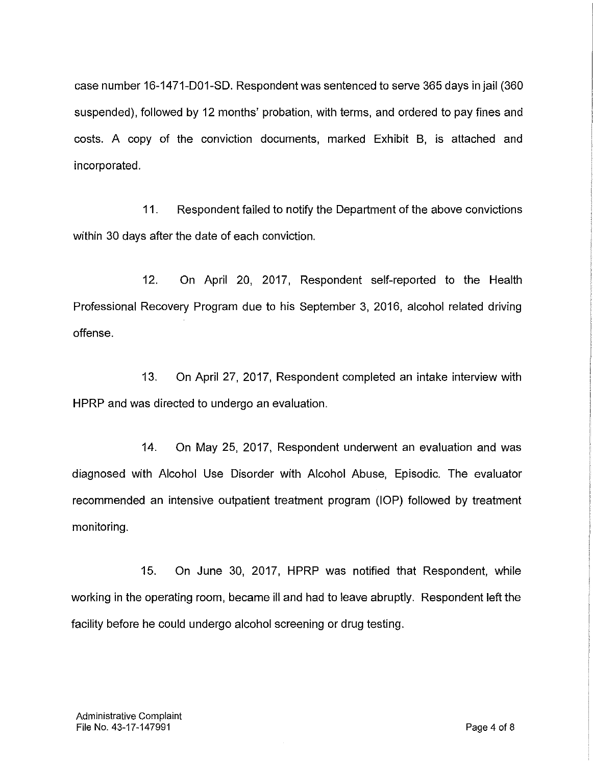case number 16-1471-D01-SD. Respondent was sentenced to serve 365 days in jail (360 suspended), followed by 12 months' probation, with terms, and ordered to pay fines and costs. A copy of the conviction documents, marked Exhibit B, is attached and incorporated.

11. Respondent failed to notify the Department of the above convictions within 30 days after the date of each conviction.

12. On April 20, 2017, Respondent self-reported to the Health Professional Recovery Program due to his September 3, 2016, alcohol related driving offense.

13. On April 27, 2017, Respondent completed an intake interview with HPRP and was directed to undergo an evaluation.

14. On May 25, 2017, Respondent underwent an evaluation and was diagnosed with Alcohol Use Disorder with Alcohol Abuse, Episodic. The evaluator recommended an intensive outpatient treatment program (IOP) followed by treatment monitoring.

15. On June 30, 2017, HPRP was notified that Respondent, while working in the operating room, became ill and had to leave abruptly. Respondent left the facility before he could undergo alcohol screening or drug testing.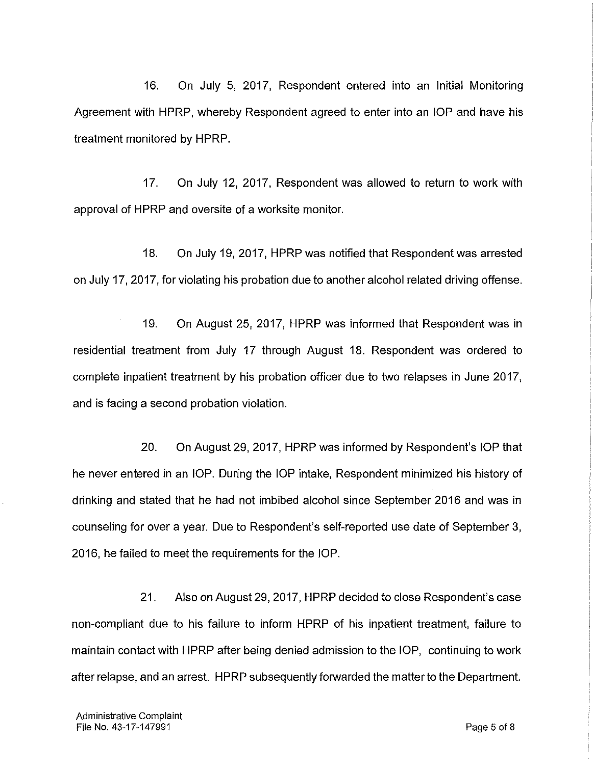16. On July 5, 2017, Respondent entered into an Initial Monitoring Agreement with HPRP, whereby Respondent agreed to enter into an IOP and have his treatment monitored by HPRP.

17. On July 12, 2017, Respondent was allowed to return to work with approval of HPRP and oversite of a worksite monitor.

18. On July 19, 2017, HPRP was notified that Respondent was arrested on July 17, 2017, for violating his probation due to another alcohol related driving offense.

19. On August 25, 2017, HPRP was informed that Respondent was in residential treatment from July 17 through August 18. Respondent was ordered to complete inpatient treatment by his probation officer due to two relapses in June 2017, and is facing a second probation violation.

20. On August 29, 2017, HPRP was informed by Respondent's IOP that he never entered in an IOP. During the IOP intake, Respondent minimized his history of drinking and stated that he had not imbibed alcohol since September 2016 and was in counseling for over a year. Due to Respondent's self-reported use date of September 3, 2016, he failed to meet the requirements for the IOP.

21. Also on August 29, 2017, HPRP decided to close Respondent's case non-compliant due to his failure to inform HPRP of his inpatient treatment, failure to maintain contact with HPRP after being denied admission to the IOP, continuing to work after relapse, and an arrest. HPRP subsequently forwarded the matter to the Department.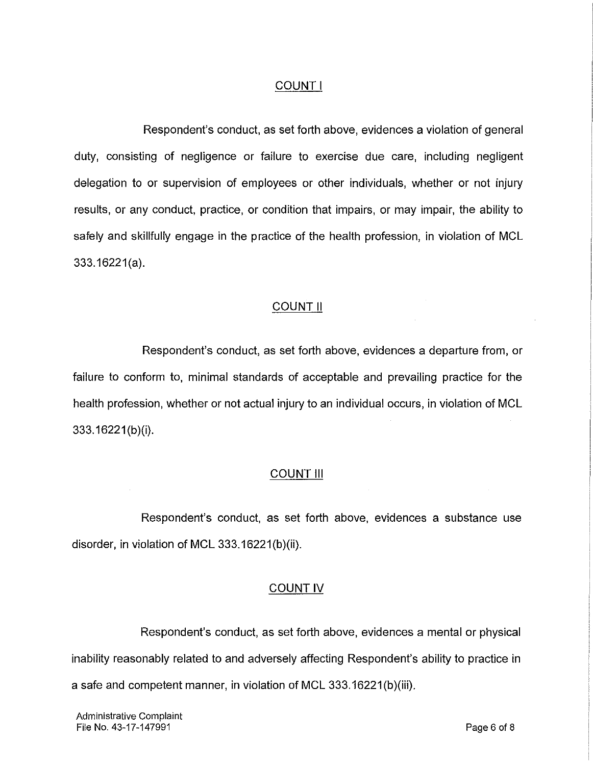### COUNT I

Respondent's conduct, as set forth above, evidences a violation of general duty, consisting of negligence or failure to exercise due care, including negligent delegation to or supervision of employees or other individuals, whether or not injury results, or any conduct, practice, or condition that impairs, or may impair, the ability to safely and skillfully engage in the practice of the health profession, in violation of MCL 333.16221(a).

### COUNT II

Respondent's conduct, as set forth above, evidences a departure from, or failure to conform to, minimal standards of acceptable and prevailing practice for the health profession, whether or not actual injury to an individual occurs, in violation of MCL 333.16221 (b)(i).

### COUNT Ill

Respondent's conduct, as set forth above, evidences a substance use disorder, in violation of MCL 333.16221 (b)(ii).

### COUNT IV

Respondent's conduct, as set forth above, evidences a mental or physical inability reasonably related to and adversely affecting Respondent's ability to practice in a safe and competent manner, in violation of MCL 333.16221 (b)(iii).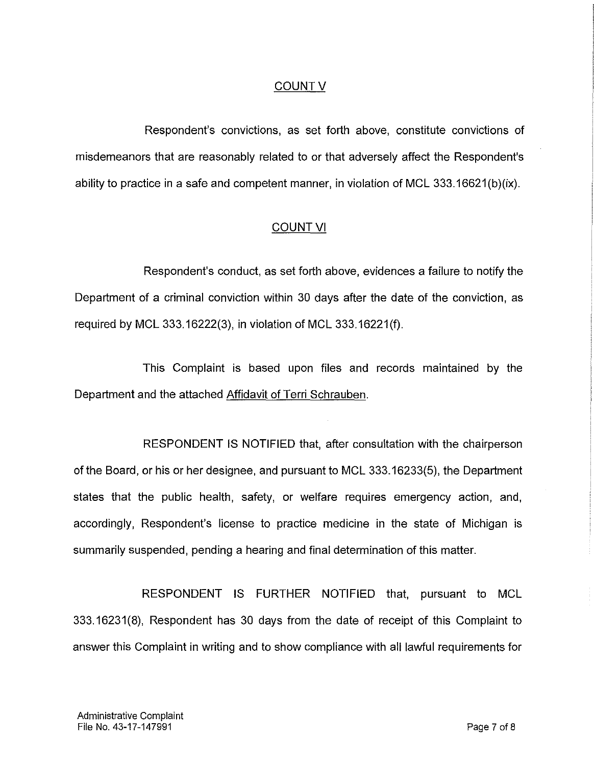# **COUNT V**

Respondent's convictions, as set forth above, constitute convictions of misdemeanors that are reasonably related to or that adversely affect the Respondent's ability to practice in a safe and competent manner, in violation of MCL 333.16621(b)(ix).

### COUNT VI

Respondent's conduct, as set forth above, evidences a failure to notify the Department of a criminal conviction within 30 days after the date of the conviction, as required by MCL 333.16222(3), in violation of MCL 333.16221(f).

This Complaint is based upon files and records maintained by the Department and the attached Affidavit of Terri Schrauben.

RESPONDENT IS NOTIFIED that, after consultation with the chairperson of the Board, or his or her designee, and pursuant to MCL 333.16233(5), the Department states that the public health, safety, or welfare requires emergency action, and, accordingly, Respondent's license to practice medicine in the state of Michigan is summarily suspended, pending a hearing and final determination of this matter.

RESPONDENT IS FURTHER NOTIFIED that, pursuant to MCL 333.16231(8), Respondent has 30 days from the date of receipt of this Complaint to answer this Complaint in writing and to show compliance with all lawful requirements for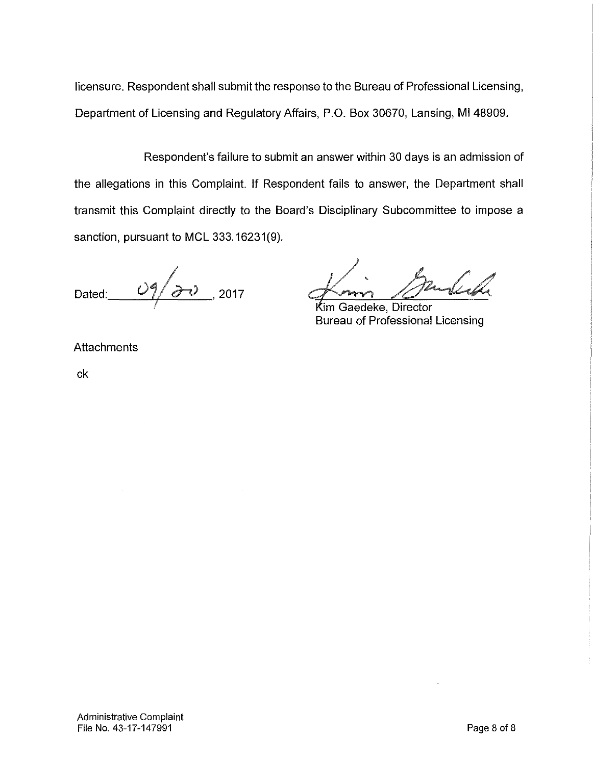licensure. Respondent shall submit the response to the Bureau of Professional Licensing, Department of Licensing and Regulatory Affairs, P.O. Box 30670, Lansing, Ml 48909.

Respondent's failure to submit an answer within 30 days is an admission of the allegations in this Complaint. If Respondent fails to answer, the Department shall transmit this Complaint directly to the Board's Disciplinary Subcommittee to impose a sanction, pursuant to MCL 333.16231(9).

Dated:\_\_u\_4....,~~Q-V \_\_,2017 ~~ ill1Gaedeke, Director

Bureau of Professional Licensing

**Attachments** 

ck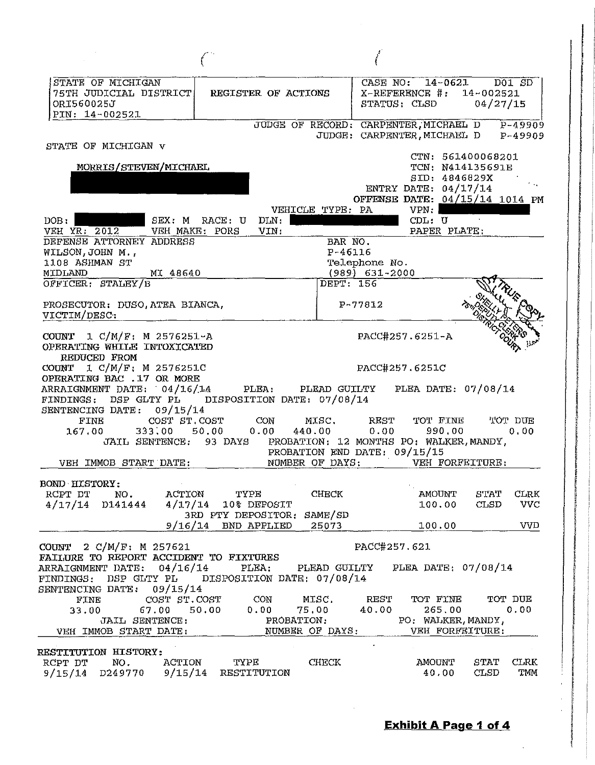| STATE OF MICHIGAN<br>75TH JUDICIAL DISTRICT<br>ORI560025J<br>PIN: 14-002521                                                                                                      | REGISTER OF ACTIONS                                                                                    |                                                                                      | CASE NO: 14-0621 D01 SD<br>$X-REFERENCE$ #: 14-002521<br>STATUS: CLSD $04/27/15$                                 |                     |                           |
|----------------------------------------------------------------------------------------------------------------------------------------------------------------------------------|--------------------------------------------------------------------------------------------------------|--------------------------------------------------------------------------------------|------------------------------------------------------------------------------------------------------------------|---------------------|---------------------------|
|                                                                                                                                                                                  |                                                                                                        | JUDGE OF RECORD: CARPENTER, MICHAEL D P-49909<br>JUDGE: CARPENTER, MICHAEL D P-49909 |                                                                                                                  |                     |                           |
| STATE OF MICHIGAN V                                                                                                                                                              |                                                                                                        |                                                                                      |                                                                                                                  |                     |                           |
| MORRIS/STEVEN/MICHAEL                                                                                                                                                            |                                                                                                        | VEHICLE TYPE: PA VPN:                                                                | CTN: 561400068201<br>TCN: N414135691E<br>SID: 4846829X<br>ENTRY DATE: 04/17/14<br>OFFENSE DATE: 04/15/14 1014 PM |                     |                           |
| DOB:                                                                                                                                                                             | SEX: M RACE: U DLN:                                                                                    |                                                                                      | $\vert$ CDL: U                                                                                                   |                     |                           |
| VEH YR: 2012 VEH MAKE: PORS<br>DEFENSE ATTORNEY ADDRESS                                                                                                                          | VIN:                                                                                                   |                                                                                      | PAPER PLATE:                                                                                                     |                     |                           |
| WILSON, JOHN M.,                                                                                                                                                                 |                                                                                                        | BAR NO.<br>$P-46116$                                                                 |                                                                                                                  |                     |                           |
| 1108 ASHMAN ST                                                                                                                                                                   |                                                                                                        | Telephone No.                                                                        |                                                                                                                  |                     |                           |
| MIDLAND<br>MI 48640                                                                                                                                                              |                                                                                                        | $(989)$ $631 - 2000$                                                                 |                                                                                                                  |                     |                           |
| OFFICER; STALEY/B                                                                                                                                                                |                                                                                                        | DEPT: 156                                                                            |                                                                                                                  |                     |                           |
| PROSECUTOR: DUSO, ATEA BIANCA,<br>VICTIM/DESC:                                                                                                                                   |                                                                                                        | P-77812                                                                              |                                                                                                                  |                     |                           |
| COUNT 1 C/M/F: M 2576251-A<br>OPERATING WHILE INTOXICATED<br>REDUCED FROM                                                                                                        |                                                                                                        |                                                                                      | PACC#257.6251-A                                                                                                  |                     |                           |
| COUNT 1 C/M/F: M 2576251C<br>OPERATING BAC . 17 OR MORE<br>ARRAIGNMENT DATE: 04/16/14 PLEA: PLEAD GUILTY PLEA DATE: 07/08/14<br>FINDINGS; DSP GLTY PL DISPOSITION DATE: 07/08/14 |                                                                                                        |                                                                                      | PACC#257.6251C                                                                                                   |                     |                           |
| SENTENCING DATE: 09/15/14<br>FINE<br>167.00 333.00 50.00 0.00                                                                                                                    | COST ST.COST CON MISC. REST TOT FINE<br>JAIL SENTENCE: 93 DAYS PROBATION; 12 MONTHS PO: WALKER, MANDY, | 440.00 0.00<br>PROBATION END DATE: 09/15/15                                          | 990.00                                                                                                           |                     | TOT DUE<br>0.00           |
| VEH IMMOB START DATE:                                                                                                                                                            |                                                                                                        | NUMBER OF DAYS: VEH FORFEITURE:                                                      |                                                                                                                  |                     |                           |
| BOND HISTORY:<br>NO.<br>RCPT DT<br>$4/17/14$ D141444                                                                                                                             | ACTION<br>TYPE<br>$4/17/14$ 10% DEPOSIT<br>3RD PTY DEPOSITOR: SAME/SD<br>$9/16/14$ BND APPLIED         | CHECK<br>25073                                                                       | AMOUNT<br>100.00<br>100.00                                                                                       | STAT<br><b>CLSD</b> | <b>CLRK</b><br>VVC<br>VVD |
| COUNT 2 C/M/F: M 257621                                                                                                                                                          |                                                                                                        | PACC#257.621                                                                         |                                                                                                                  |                     |                           |
| FAILURE TO REPORT ACCIDENT TO FIXTURES<br>ARRAIGNMENT DATE: 04/16/14<br>FINDINGS: DSP GLTY PL<br>SENTENCING DATE: 09/15/14                                                       | PLEA:<br>DISPOSITION DATE: 07/08/14                                                                    | PLEAD GUILTY                                                                         | PLEA DATE: 07/08/14                                                                                              |                     |                           |
| COST ST.COST<br><b>FINE</b><br>33.00<br>67.00<br>JAIL SENTENCE:<br>VEH IMMOB START DATE:                                                                                         | CON<br>MISC.<br>0.00<br>75,00<br>50,00<br>PROBATION:<br>NUMBER OF DAYS:                                | REST<br>40.00                                                                        | TOT FINE<br>265.00<br>PO: WALKER, MANDY,<br>VEH FORFEITURE:                                                      |                     | TOT DUE<br>0.00           |
| RESTITUTION HISTORY:<br>ACTION<br>RCPT DT<br>NO.<br>9/15/14<br>9/15/14 D249770                                                                                                   | TYPE<br>RESTITUTION                                                                                    | <b>CHECK</b>                                                                         | AMOUNT<br>40.00                                                                                                  | STAT<br><b>CLSD</b> | <b>CLRK</b><br>TMM        |

 $\boldsymbol{\beta}^{\prime}$ 

 $\mathcal{L}^{(1)}$ 

I

**IN CONSTRUCTION** 

ina <u>mana any kaodim-paositra 2014.</u><br>Jeografia

**International Construction Commercial Construction**<br>International Commercial Commercial Commercial Commercial Commercial Commercial Commercial Commercial Commercia

In the Case of Case of the Case of Case of Case of Case of Case of Case of Case of Case of Case of Case of Cas<br>The Case of Case of Case of Case of Case of Case of Case of Case of Case of Case of Case of Case of Case of Ca International Control<br>International Control Control Control Control Control Control Control Control Control Control Control Control<br>International Control Control Control Control Control Control Control Control Control Cont ite<br>Personal **International Control**<br>International Control !

*Property* i

g 'n geskieden.<br>Geskieden ~ ja<br>Alfred Santon<br>Alfred Santon ! i<br>internet<br>internet **|**<br>|-<br>| i I<br>Internet Scientrals<br>Internet Scientrals **Internatives**<br>Internatives

I

**International** i<br>Ethelia **International Control**<br>International Control<br>International Control

i<br>International<br>International

' '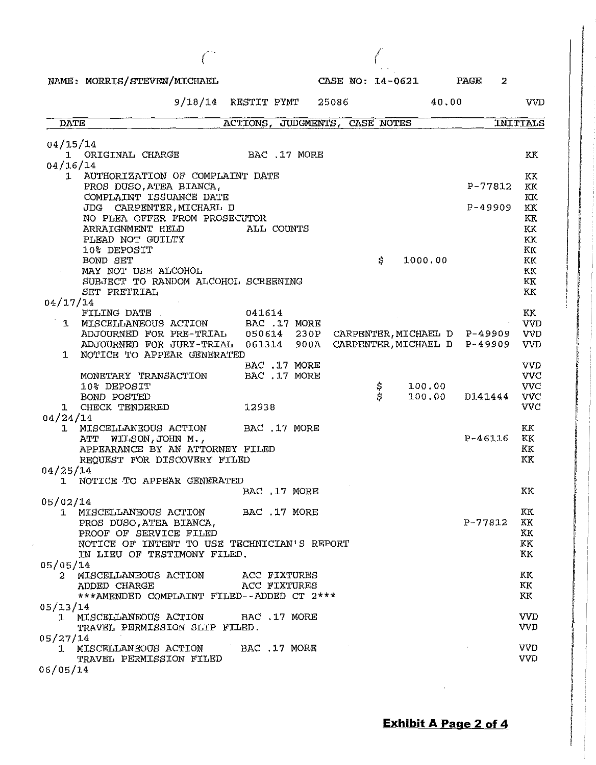|                      | NAME: MORRIS/STEVEN/MICHAEL                                                                                                                                                                |                              | CASE NO: 14-0621      |                                                      |         | PAGE                   | 2                                                    |
|----------------------|--------------------------------------------------------------------------------------------------------------------------------------------------------------------------------------------|------------------------------|-----------------------|------------------------------------------------------|---------|------------------------|------------------------------------------------------|
|                      | 9/18/14                                                                                                                                                                                    | RESTIT PYMT                  | 25086                 |                                                      | 40.00   |                        | <b>VVD</b>                                           |
| <b>DATE</b>          |                                                                                                                                                                                            | ACTIONS,                     | JUDGMENTS, CASE NOTES |                                                      |         |                        | INITIALS                                             |
| 04/15/14             |                                                                                                                                                                                            |                              |                       |                                                      |         |                        |                                                      |
| $\mathbf{1}$         | ORIGINAL CHARGE                                                                                                                                                                            | BAC ,17 MORE                 |                       |                                                      |         |                        | KK                                                   |
| 04/16/14             |                                                                                                                                                                                            |                              |                       |                                                      |         |                        |                                                      |
| $\mathbf{1}$         | AUTHORIZATION OF COMPLAINT DATE<br>PROS DUSO, ATEA BIANCA,<br>COMPLAINT ISSUANCE DATE<br>JDG CARPENTER, MICHAEL D<br>NO PLEA OFFER FROM PROSECUTOR<br>ARRAIGNMENT HELD<br>PLEAD NOT GUILTY | ALL COUNTS                   |                       |                                                      |         | $P-77812$<br>$P-49909$ | КK<br>KK<br>KK<br>KK<br>KK<br>KK<br>KK               |
|                      | 10% DEPOSIT<br>BOND SET                                                                                                                                                                    |                              |                       | \$.                                                  | 1000.00 |                        | KK<br>KK                                             |
|                      | MAY NOT USE ALCOHOL<br>SUBJECT TO RANDOM ALCOHOL SCREENING<br>SET PRETRIAL                                                                                                                 |                              |                       |                                                      |         |                        | KK<br>KK<br>KK                                       |
| 04/17/14             |                                                                                                                                                                                            |                              |                       |                                                      |         |                        |                                                      |
|                      | FILING DATE<br>1. MISCELLANEOUS ACTION BAC .17 MORE<br>ADJOURNED FOR PRE-TRIAL 050614<br>ADJOURNED FOR JURY-TRIAL 061314                                                                   | 041614                       | 230P<br>900A          | CARPENTER, MICHAEL D P-49909<br>CARPENTER, MICHAEL D |         | $P-49909$              | KK.<br>VVD<br>VVD<br><b>VVD</b>                      |
| 1                    | NOTICE TO APPEAR GENERATED<br>MONETARY TRANSACTION<br>10% DEPOSIT                                                                                                                          | BAC .17 MORE<br>BAC .17 MORE |                       |                                                      | 100.00  |                        | <b>VVD</b><br>VVC<br><b>VVC</b>                      |
| 1                    | <b>BOND POSTED</b><br>CHECK TENDERED                                                                                                                                                       | 12938                        |                       | \$                                                   | 100.00  | D141444                | <b>VVC</b><br><b>VVC</b>                             |
| 04/24/14             |                                                                                                                                                                                            |                              |                       |                                                      |         |                        |                                                      |
| 1                    | MISCELLANEOUS ACTION<br>WILSON, JOHN M.,<br>ATT<br>APPEARANCE BY AN ATTORNEY FILED<br>REQUEST FOR DISCOVERY FILED                                                                          | BAC .17 MORE                 |                       |                                                      |         | $P-46116$              | KK<br>KK<br>KK<br>KΚ                                 |
| 04/25/14             |                                                                                                                                                                                            |                              |                       |                                                      |         |                        |                                                      |
|                      | 1 NOTICE TO APPEAR GENERATED                                                                                                                                                               | BAC .17 MORE                 |                       |                                                      |         |                        | KK                                                   |
| 05/02/14             |                                                                                                                                                                                            |                              |                       |                                                      |         |                        |                                                      |
|                      | 1 MISCELLANEOUS ACTION BAC .17 MORE<br>PROS DUSO, ATEA BIANCA,<br>PROOF OF SERVICE FILED<br>NOTICE OF INTENT TO USE TECHNICIAN'S REPORT<br>IN LIEU OF TESTIMONY FILED.                     |                              |                       |                                                      |         | P-77812                | УK<br>$\rm KK$<br>ΚK<br>$\mathbb{K}\mathbb{K}$<br>KК |
| 05/05/14             |                                                                                                                                                                                            |                              |                       |                                                      |         |                        |                                                      |
|                      | 2 MISCELLANEOUS ACTION<br>ADDED CHARGE<br>***AMENDED COMPLAINT FILED--ADDED CT 2***                                                                                                        | ACC FIXTURES<br>ACC FIXTURES |                       |                                                      |         |                        | KK<br>KK<br>KK,                                      |
| 05/13/14             | 1 MISCELLANEOUS ACTION BAC .17 MORE<br>TRAVEL PERMISSION SLIP FILED.                                                                                                                       |                              |                       |                                                      |         |                        | <b>VVD</b><br>VVD                                    |
| 05/27/14<br>06/05/14 | 1. MISCELLANEOUS ACTION BAC .17 MORE<br>TRAVEL PERMISSION FILED                                                                                                                            |                              |                       |                                                      |         |                        | <b>VVD</b><br><b>VVD</b>                             |

 $\bar{z}$ 

 $\label{eq:reduced} The probability of the number of values are given by the probability of the number of values.$ 

التاريخية المراجعة المستحققة المراجعة المراجعة المراجعة المراجعة المراجعة المراجعة المراجعة المراجعة المراجعة<br>المراجعة المراجعة المراجعة المراجعة المراجعة المراجعة المراجعة المراجعة المراجعة المراجعة المراجعة المراجعة ال

**INTERNATIONAL PROPERTY AND INTERNATIONAL PROPERTY AND INTERNATIONAL PROPERTY AND INTERNATIONAL PROPERTY AND IN** 

Rana ang pagkalang ng Kanadang Kanadang Kanadang Kanadang Kanadang Kanadang Kanadang Kanadang Kanadang Kanadan<br>Kanadang Kanadang Kanadang Kanadang Kanadang Kanadang Kanadang Kanadang Kanadang Kanadang Kanadang Kanadang Ka **International Property** !!! **International INGLESS** 

an an an India.<br>Regologia di Linda di Linda di Linda di Linda.

**International NETWORK** rpresses<br>Internet

IK (1880) ar (1880)<br>An Dùbhan Chomain an Dùbhan Chomain an Dùbhan Chomain an Dùbhan Chomain an Dùbhan Chomain an Dùbhan Chomain an<br>An Dùbhan Chomain an Dùbhan Chomain an Dùbhan Chomain an Dùbhan Chomain an Dùbhan Chomain a

KWKteriachteka)<br>KWKteriachteka)

linarijas<br>Internetas

I

i<br>Inggars<del>iya sa sa kara</del><br>Inggars<del>iya sa sa kar</del>a

I !

Fritanningsrigsma<br>India<br>India **UNIVERSITY** 

' I

organisme en en electronic en el marcolor de la marcolor (marcolor).<br>Internacional de la marcolor de la marcolor de la marcolor (marcolor).<br>Internacional de la marcolor de la marcolor de la marcolor de la marcolor de la ma

! **fection**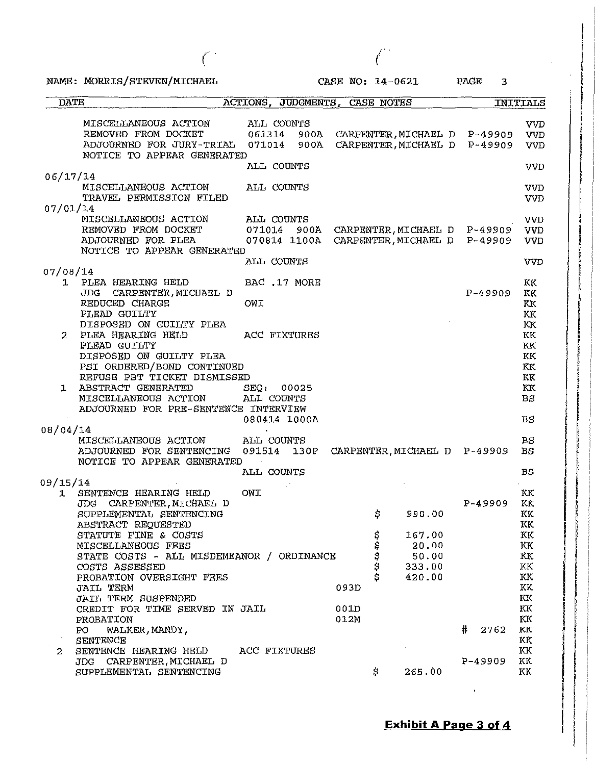NAME: MORRIS/STEVEN/MICHAEL CASE NO: 14-0621 PAGE 3 DATE ACTIONS, JUDGMENTS, CASE NOTES INITIALS

|  | CHOR MO: T4-002T | PAG. |
|--|------------------|------|
|  |                  |      |
|  |                  |      |

*r·* 

| <b>DWIR</b>                                                       | ACTIONS, JUDGMENTS, CASE NOTES            |      |    |                                       |   |         | TMTTTUTP   |
|-------------------------------------------------------------------|-------------------------------------------|------|----|---------------------------------------|---|---------|------------|
|                                                                   |                                           |      |    |                                       |   |         |            |
| MISCELLANEOUS ACTION ALL COUNTS                                   |                                           |      |    |                                       |   |         | <b>VVD</b> |
| REMOVED FROM DOCKET 061314                                        |                                           |      |    | 900A CARPENTER, MICHAEL D P-49909 VVD |   |         |            |
| ADJOURNED FOR JURY-TRIAL 071014 900A                              |                                           |      |    | CARPENTER, MICHAEL D P-49909          |   |         | VVD        |
| NOTICE TO APPEAR GENERATED                                        |                                           |      |    |                                       |   |         |            |
|                                                                   | ALL COUNTS                                |      |    |                                       |   |         | VVD        |
| 06/17/14                                                          |                                           |      |    |                                       |   |         |            |
| MISCELLANEOUS ACTION ALL COUNTS                                   |                                           |      |    |                                       |   |         | <b>VVD</b> |
| TRAVEL PERMISSION FILED                                           |                                           |      |    |                                       |   |         | <b>VVD</b> |
| 07/01/14                                                          |                                           |      |    |                                       |   |         |            |
| MISCELLANEOUS ACTION                                              | ALL COUNTS                                |      |    |                                       |   |         | <b>VVD</b> |
| REMOVED FROM DOCKET 071014 900A CARPENTER, MICHAEL D P-49909      |                                           |      |    |                                       |   |         | VVD        |
| ADJOURNED FOR PLEA                                                | 070814 1100A CARPENTER, MICHAEL D P-49909 |      |    |                                       |   |         | <b>VVD</b> |
| NOTICE TO APPEAR GENERATED                                        |                                           |      |    |                                       |   |         |            |
|                                                                   | ALL COUNTS                                |      |    |                                       |   |         | VVD        |
| 07/08/14                                                          |                                           |      |    |                                       |   |         |            |
| 1 PLEA HEARING HELD                                               | BAC .17 MORE                              |      |    |                                       |   |         | КK         |
| JDG CARPENTER, MICHAEL D                                          |                                           |      |    | $P-49909$                             |   |         | KK         |
| REDUCED CHARGE                                                    | OWI                                       |      |    |                                       |   |         | KK         |
| PLEAD GUILTY                                                      |                                           |      |    |                                       |   |         | KK         |
| DISPOSED ON GUILTY PLEA                                           |                                           |      |    |                                       |   |         | KK         |
| PLEA HEARING HELD                                                 | ACC FIXTURES                              |      |    |                                       |   |         | KK.        |
| PLEAD GUILTY                                                      |                                           |      |    |                                       |   |         | KK         |
|                                                                   |                                           |      |    |                                       |   |         |            |
| DISPOSED ON GUILTY PLEA                                           |                                           |      |    |                                       |   |         | KK         |
| PSI ORDERED/BOND CONTINUED                                        |                                           |      |    |                                       |   |         | KK         |
| REFUSE PBT TICKET DISMISSED                                       |                                           |      |    |                                       |   |         | KK         |
| 1 ABSTRACT GENERATED                                              | SEQ: 00025                                |      |    |                                       |   |         | KK         |
| MISCELLANEOUS ACTION                                              | ALL COUNTS                                |      |    |                                       |   |         | <b>BS</b>  |
| ADJOURNED FOR PRE-SENTENCE INTERVIEW                              |                                           |      |    |                                       |   |         |            |
|                                                                   | 080414 1000A                              |      |    |                                       |   |         | BS         |
| 08/04/14                                                          |                                           |      |    |                                       |   |         |            |
| MISCELLANEOUS ACTION ALL COUNTS                                   |                                           |      |    |                                       |   |         | BS         |
| ADJOURNED FOR SENTENCING 091514 130P CARPENTER, MICHAEL D P-49909 |                                           |      |    |                                       |   |         | <b>BS</b>  |
| NOTICE TO APPEAR GENERATED                                        |                                           |      |    |                                       |   |         |            |
|                                                                   | ALL COUNTS                                |      |    |                                       |   |         | BS         |
| 09/15/14                                                          |                                           |      |    |                                       |   |         |            |
| 1 SENTENCE HEARING HELD                                           | <b>OWT</b>                                |      |    |                                       |   |         | ΚК         |
| JDG CARPENTER, MICHAEL D                                          |                                           |      |    |                                       |   | P-49909 | KK         |
| SUPPLEMENTAL SENTENCING                                           |                                           |      | \$ | 990.00                                |   |         | KK         |
| ABSTRACT REQUESTED                                                |                                           |      |    |                                       |   |         | KK         |
| STATUTE FINE & COSTS                                              |                                           |      | Ş  | 167.00                                |   |         | KК         |
| MISCELLANEOUS FEES                                                |                                           |      |    | 20.00                                 |   |         | ΚК         |
| STATE COSTS - ALL MISDEMEANOR / ORDINANCE                         |                                           |      |    | 50.00                                 |   |         | $\rm KK$   |
| COSTS ASSESSED                                                    |                                           |      |    | 333.00                                |   |         | KK         |
| PROBATION OVERSIGHT FEES                                          |                                           |      |    | 420.00                                |   |         | KK         |
| <b>JAIL TERM</b>                                                  |                                           | 093D |    |                                       |   |         | KK.        |
|                                                                   |                                           |      |    |                                       |   |         | ΚК         |
|                                                                   |                                           | 001D |    |                                       |   |         | KК         |
| JAIL TERM SUSPENDED                                               |                                           |      |    |                                       |   |         | KК         |
| CREDIT FOR TIME SERVED IN JAIL                                    |                                           |      |    |                                       |   |         |            |
| PROBATION                                                         |                                           | 012M |    |                                       |   |         |            |
| PO.<br>WALKER, MANDY,                                             |                                           |      |    |                                       | # | 2762    | ΚK         |
| SENTENCE                                                          |                                           |      |    |                                       |   |         | ΚK         |
| SENTENCE HEARING HELD<br>$2^{\circ}$                              | ACC FIXTURES                              |      |    |                                       |   |         | КK         |
| JDG CARPENTER, MICHAEL D<br>SUPPLEMENTAL SENTENCING               |                                           |      | \$ | 265.00                                |   | P-49909 | ΚK<br>ΚK   |

 $($   $($ 

 $\mathbf{r}$ 

|<br>|-<br>|-<br>|i I

j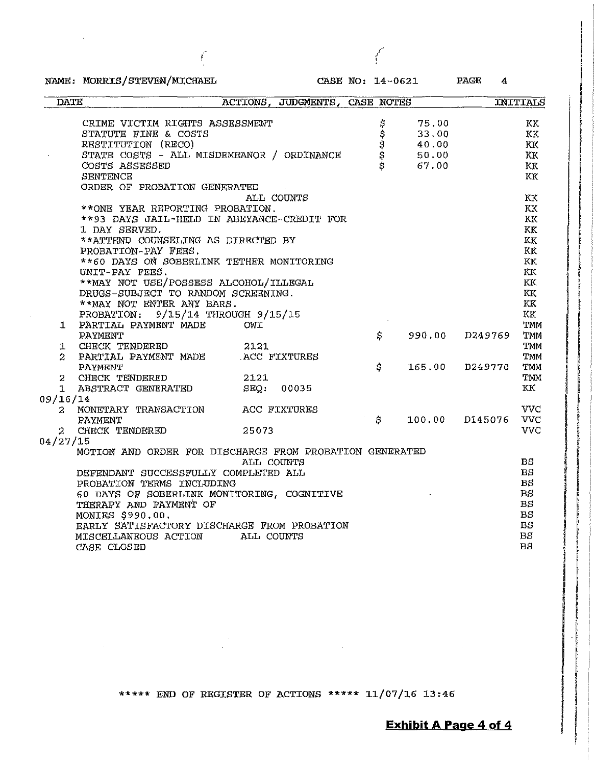NAME: MORRIS/STEVEN/MICHAEL CASE NO: 14-0621 PAGE 4

 $\langle \cdot \rangle$ 

 $\sim$ 

*i*  ..

| <b>DATE</b>    |                                                         | ACTIONS, JUDGMENTS, CASE NOTES |              |        |         | <b>INITIALS</b> |
|----------------|---------------------------------------------------------|--------------------------------|--------------|--------|---------|-----------------|
|                |                                                         |                                |              |        |         |                 |
|                | CRIME VICTIM RIGHTS ASSESSMENT                          |                                | 10-01-02-02  | 75.00  |         | ΚK              |
|                | STATUTE FINE & COSTS                                    |                                |              | 33,00  |         | KK              |
|                | RESTITUTION (RECO)                                      |                                |              | 40.00  |         | KK              |
|                | STATE COSTS - ALL MISDEMEANOR / ORDINANCE               |                                |              | 50,00  |         | КK              |
|                | COSTS ASSESSED                                          |                                | Ś            | 67.00  |         | KK              |
|                | <b>SENTENCE</b>                                         |                                |              |        |         | КK              |
|                | ORDER OF PROBATION GENERATED                            |                                |              |        |         |                 |
|                |                                                         | ALL COUNTS                     |              |        |         | ΚK              |
|                | ** ONE YEAR REPORTING PROBATION.                        |                                |              |        |         | KK              |
|                | **93 DAYS JAIL-HELD IN ABEYANCE-CREDIT FOR              |                                |              |        |         | KK              |
|                | 1 DAY SERVED.                                           |                                |              |        |         | ΚK              |
|                | **ATTEND COUNSELING AS DIRECTED BY                      |                                |              |        |         | KK              |
|                | PROBATION-PAY FEES.                                     |                                |              |        |         | KK              |
|                | **60 DAYS ON SOBERLINK TETHER MONITORING                |                                |              |        |         | KK              |
|                | UNIT-PAY FEES.                                          |                                |              |        |         | KK              |
|                | ** MAY NOT USE/POSSESS ALCOHOL/ILLEGAL                  |                                |              |        |         | KK              |
|                | DRUGS-SUBJECT TO RANDOM SCREENING.                      |                                |              |        |         | KK              |
|                | ** MAY NOT ENTER ANY BARS.                              |                                |              |        |         | KK              |
|                | PROBATION: 9/15/14 THROUGH 9/15/15                      |                                |              |        |         | KK              |
| 1              | PARTIAL PAYMENT MADE                                    | <b>TWO</b>                     |              |        |         | <b>TMM</b>      |
|                | PAYMENT                                                 |                                | \$           | 990.00 | D249769 | TMM             |
| 1              | CHECK TENDERED                                          | 2121                           |              |        |         | <b>TMM</b>      |
| $\overline{2}$ | PARTIAL PAYMENT MADE                                    | ACC FIXTURES                   |              |        |         | <b>TMM</b>      |
|                | PAYMENT                                                 |                                | \$           | 165.00 | D249770 | <b>TMM</b>      |
| 2.             | <b>CHECK TENDERED</b>                                   | 2121                           |              |        |         | TMM             |
| 1.             | ABSTRACT GENERATED                                      | SEO: 00035                     |              |        |         | KK              |
| 09/16/14       |                                                         |                                |              |        |         |                 |
| $2^{\circ}$    | MONETARY TRANSACTION                                    | ACC FIXTURES                   |              |        |         | <b>VVC</b>      |
|                | PAYMENT                                                 |                                | $\mathbf{S}$ | 100.00 | D145076 | <b>VVC</b>      |
| 2.             | CHECK TENDERED                                          | 25073                          |              |        |         | <b>VVC</b>      |
| 04/27/15       |                                                         |                                |              |        |         |                 |
|                | MOTION AND ORDER FOR DISCHARGE FROM PROBATION GENERATED |                                |              |        |         |                 |
|                |                                                         | ALL COUNTS                     |              |        |         | <b>BS</b>       |
|                | DEFENDANT SUCCESSFULLY COMPLETED ALL                    |                                |              |        |         | $_{\rm BS}$     |
|                | PROBATION TERMS INCLUDING                               |                                |              |        |         | <b>BS</b>       |
|                | 60 DAYS OF SOBERLINK MONITORING, COGNITIVE              |                                |              |        |         | <b>BS</b>       |
|                | THERAPY AND PAYMENT OF                                  |                                |              |        |         | $_{\rm BS}$     |
|                | MONIES \$990.00.                                        |                                |              |        |         | BS              |
|                | EARLY SATISFACTORY DISCHARGE FROM PROBATION             |                                |              |        |         | <b>BS</b>       |
|                | MISCELLANEOUS ACTION ALL COUNTS                         |                                |              |        |         | BS              |
|                | CASE CLOSED                                             |                                |              |        |         | <b>BS</b>       |
|                |                                                         |                                |              |        |         |                 |

\*\*\*\*\* END OF REGISTER OF ACTIONS \*\*\*\*\* 11/07/16 13:46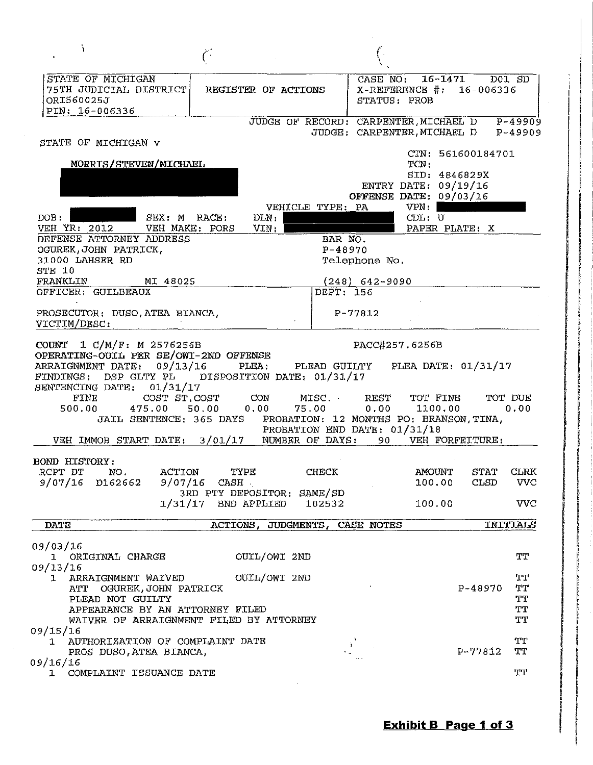| ×.                                                                                                                                                                               |                                                                                                                                     |                                                                |                                                                  |                 |
|----------------------------------------------------------------------------------------------------------------------------------------------------------------------------------|-------------------------------------------------------------------------------------------------------------------------------------|----------------------------------------------------------------|------------------------------------------------------------------|-----------------|
|                                                                                                                                                                                  |                                                                                                                                     |                                                                |                                                                  |                 |
| STATE OF MICHIGAN<br>75TH JUDICIAL DISTRICT;<br>ORI560025J<br>PIN: 16-006336                                                                                                     | REGISTER OF ACTIONS                                                                                                                 | CASE NO:<br>STATUS: PROB                                       | $16 - 1471$<br>X-REFERENCE #: 16-006336                          | $D01$ $SD$      |
|                                                                                                                                                                                  |                                                                                                                                     | JUDGE OF RECORD: CARPENTER, MICHAEL D  P-49909                 |                                                                  |                 |
| STATE OF MICHIGAN V                                                                                                                                                              |                                                                                                                                     |                                                                | JUDGE: CARPENTER, MICHAEL D P-49909                              |                 |
|                                                                                                                                                                                  |                                                                                                                                     |                                                                | CTN: 561600184701                                                |                 |
| MORRIS/STEVEN/MICHAEL                                                                                                                                                            |                                                                                                                                     |                                                                | TCN:<br>SID: 4846829X                                            |                 |
|                                                                                                                                                                                  |                                                                                                                                     |                                                                | ENTRY DATE: 09/19/16                                             |                 |
|                                                                                                                                                                                  |                                                                                                                                     | VEHICLE TYPE: PA                                               | OFFENSE DATE: 09/03/16<br>VPN:                                   |                 |
| SEX: M RACE:<br>DOB:                                                                                                                                                             | DLN:                                                                                                                                |                                                                | CDL: U                                                           |                 |
| VEH YR: 2012                                                                                                                                                                     | VEH MAKE: PORS<br>VIN:                                                                                                              |                                                                | PAPER PLATE: X                                                   |                 |
| DEFENSE ATTORNEY ADDRESS<br>OGUREK, JOHN PATRICK,                                                                                                                                |                                                                                                                                     | BAR NO.<br>$P-48970$                                           |                                                                  |                 |
| 31000 LAHSER RD                                                                                                                                                                  |                                                                                                                                     | Telephone No.                                                  |                                                                  |                 |
| <b>STE 10</b><br>FRANKLIN<br>MI 48025                                                                                                                                            |                                                                                                                                     | $(248)$ 642-9090                                               |                                                                  |                 |
| OFFICER: GUILBEAUX                                                                                                                                                               |                                                                                                                                     | DEPT: 156                                                      |                                                                  |                 |
| PROSECUTOR: DUSO, ATEA BIANCA,                                                                                                                                                   |                                                                                                                                     | P-77812                                                        |                                                                  |                 |
| VICTIM/DESC:                                                                                                                                                                     |                                                                                                                                     |                                                                |                                                                  |                 |
| ARRAIGNMENT DATE: 09/13/16 PLEA: PLEAD GUILTY<br>FINDINGS: DSP GLTY PL<br>SENTENCING DATE: 01/31/17<br>FINE<br>500.00<br>475.00<br>VEH IMMOB START DATE: 3/01/17 NUMBER OF DAYS: | DISPOSITION DATE: 01/31/17<br>COST ST, COST CON<br>0,00<br>50.00<br>JAIL SENTENCE: 365 DAYS PROBATION: 12 MONTHS PO: BRANSON, TINA, | MISC.<br>REST<br>75.00<br>0.00<br>PROBATION END DATE: 01/31/18 | PLEA DATE: 01/31/17<br>TOT FINE<br>1100.00<br>90 VEH FORFEITURE: | TOT DUE<br>0.00 |
| BOND HISTORY:                                                                                                                                                                    |                                                                                                                                     |                                                                |                                                                  |                 |
| RCPT DT<br>ACTION<br>NO.                                                                                                                                                         | TYPE                                                                                                                                | <b>CHECK</b>                                                   | <b>STAT</b><br><b>AMOUNT</b>                                     | <b>CLRK</b>     |
| 9/07/16 D162662                                                                                                                                                                  | $9/07/16$ CASH.<br>3RD PTY DEPOSITOR: SAME/SD                                                                                       |                                                                | 100.00<br><b>CLSD</b>                                            | VVC             |
|                                                                                                                                                                                  | $1/31/17$ BND APPLIED                                                                                                               | 102532                                                         | 100.00                                                           | <b>VVC</b>      |
| <b>DATE</b>                                                                                                                                                                      | ACTIONS, JUDGMENTS, CASE NOTES                                                                                                      |                                                                |                                                                  | <b>INITIALS</b> |
|                                                                                                                                                                                  |                                                                                                                                     |                                                                |                                                                  |                 |
| 09/03/16<br>1 ORIGINAL CHARGE                                                                                                                                                    | OUIL/OWI 2ND                                                                                                                        |                                                                |                                                                  | TТ              |
| 09/13/16                                                                                                                                                                         |                                                                                                                                     |                                                                |                                                                  |                 |
| 1 ARRAIGNMENT WAIVED<br>ATT OGUREK, JOHN PATRICK                                                                                                                                 | OUIL/OWI 2ND                                                                                                                        |                                                                | P-48970                                                          | TT<br>TT        |
| PLEAD NOT GUILTY                                                                                                                                                                 |                                                                                                                                     |                                                                |                                                                  | TT              |
| APPEARANCE BY AN ATTORNEY FILED                                                                                                                                                  |                                                                                                                                     |                                                                |                                                                  | TT              |
| WAIVER OF ARRAIGNMENT FILED BY ATTORNEY                                                                                                                                          |                                                                                                                                     |                                                                |                                                                  | TT              |
| 09/15/16<br>1 AUTHORIZATION OF COMPLAINT DATE                                                                                                                                    |                                                                                                                                     |                                                                |                                                                  | TT              |
| PROS DUSO, ATEA BIANCA,                                                                                                                                                          |                                                                                                                                     |                                                                | $P-77812$                                                        | TT              |
| 09/16/16<br>1 COMPLAINT ISSUANCE DATE                                                                                                                                            |                                                                                                                                     |                                                                |                                                                  | TT              |

 $\Delta$ 

 $\sim$ 

**Exhibit B Page 1 of 3** 

international properties<br>International properties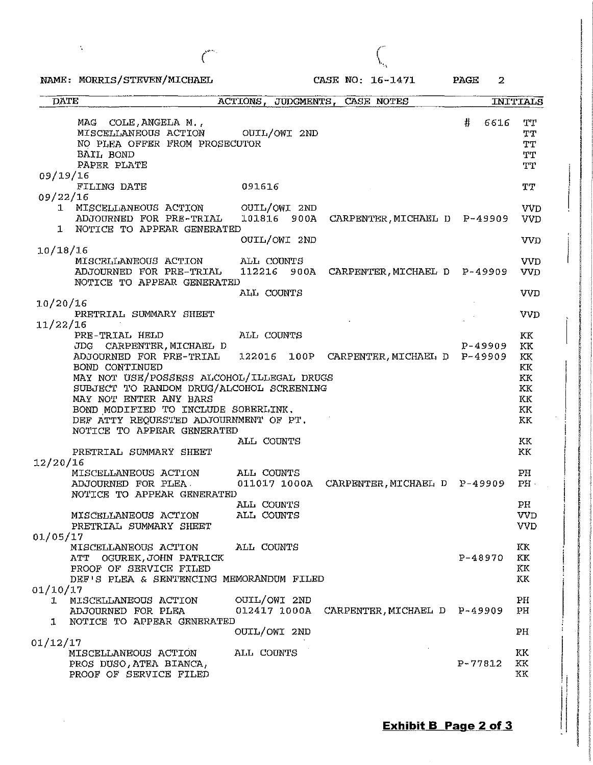|              | NAME: MORRIS/STEVEN/MICHAEL                                                                                                                                                                                                   |                             | CASE NO: 16-1471                          | <b>PAGE</b><br>2 |                                                |
|--------------|-------------------------------------------------------------------------------------------------------------------------------------------------------------------------------------------------------------------------------|-----------------------------|-------------------------------------------|------------------|------------------------------------------------|
| <b>DATE</b>  |                                                                                                                                                                                                                               |                             | ACTIONS, JUDGMENTS, CASE NOTES            |                  | <b>INITIALS</b>                                |
| 09/19/16     | MAG COLE, ANGELA M.,<br>MISCELLANEOUS ACTION OUIL/OWI 2ND<br>NO PLEA OFFER FROM PROSECUTOR<br>BAIL BOND<br>PAPER PLATE                                                                                                        |                             |                                           | 6616<br>#        | TT<br>TT<br>ТT<br>TT<br>$\mathbf{T}\mathbf{T}$ |
| 09/22/16     | FILING DATE                                                                                                                                                                                                                   | 091616                      |                                           |                  | TT                                             |
| $\mathbf{1}$ | MISCELLANEOUS ACTION<br>ADJOURNED FOR PRE-TRIAL<br>1 NOTICE TO APPEAR GENERATED                                                                                                                                               | OUIL/OWI 2ND<br>101816 900A | CARPENTER, MICHAEL D P-49909              |                  | VVD<br>VVD                                     |
| 10/18/16     |                                                                                                                                                                                                                               | OUIL/OWI 2ND                |                                           |                  | VVD                                            |
|              | MISCELLANEOUS ACTION<br>ADJOURNED FOR PRE-TRIAL<br>NOTICE TO APPEAR GENERATED                                                                                                                                                 | ALL COUNTS<br>112216 900A   | CARPENTER, MICHAEL D P-49909              |                  | <b>VVD</b><br><b>VVD</b>                       |
| 10/20/16     |                                                                                                                                                                                                                               | ALL COUNTS                  |                                           |                  | VVD                                            |
| 11/22/16     | PRETRIAL SUMMARY SHEET                                                                                                                                                                                                        |                             |                                           |                  | VVD                                            |
|              | PRE-TRIAL HELD<br>JDG CARPENTER, MICHAEL D                                                                                                                                                                                    | ALL COUNTS                  |                                           | P-49909          | KK<br>KK                                       |
|              | ADJOURNED FOR PRE-TRIAL<br>BOND CONTINUED                                                                                                                                                                                     |                             | 122016 100P CARPENTER, MICHAEL D P-49909  |                  | KK<br>KK                                       |
|              | MAY NOT USE/POSSESS ALCOHOL/ILLEGAL DRUGS<br>SUBJECT TO RANDOM DRUG/ALCOHOL SCREENING<br>MAY NOT ENTER ANY BARS<br>BOND MODIFIED TO INCLUDE SOBERLINK.<br>DEF ATTY REQUESTED ADJOURNMENT OF PT.<br>NOTICE TO APPEAR GENERATED |                             |                                           |                  | KK<br>KK<br>KК<br>KK<br>KK                     |
| 12/20/16     | PRETRIAL SUMMARY SHEET                                                                                                                                                                                                        | ALL COUNTS                  |                                           |                  | KK<br>KK                                       |
|              | MISCELLANEOUS ACTION<br>ADJOURNED FOR PLEA<br>NOTICE TO APPEAR GENERATED                                                                                                                                                      | ALL COUNTS                  | 011017 1000A CARPENTER, MICHAEL D P-49909 |                  | PН<br>$PH$ .                                   |
| 01/05/17     | MISCELLANEOUS ACTION<br>PRETRIAL SUMMARY SHEET                                                                                                                                                                                | ALL COUNTS<br>ALL COUNTS    |                                           |                  | $\mathbf{P}$ H<br>VVD<br><b>VVD</b>            |
|              | MISCELLANEOUS ACTION<br>ATT OGUREK, JOHN PATRICK<br>PROOF OF SERVICE FILED<br>DEF'S PLEA & SENTENCING MEMORANDUM FILED                                                                                                        | ALL COUNTS                  |                                           | $P-48970$        | KK<br>КK<br>КK<br>KK                           |
| 01/10/17     | 1 MISCELLANEOUS ACTION<br>ADJOURNED FOR PLEA                                                                                                                                                                                  | OUIL/OWI 2ND                | 012417 1000A CARPENTER, MICHAEL D P-49909 |                  | $\rm PH$<br>$\rm PH$                           |
|              | NOTICE TO APPEAR GENERATED                                                                                                                                                                                                    | OUIL/OWI 2ND                |                                           |                  | PH                                             |
| 01/12/17     | MISCELLANEOUS ACTION                                                                                                                                                                                                          | ALL COUNTS                  |                                           |                  | KK                                             |
|              | PROS DUSO, ATEA BIANCA,<br>PROOF OF SERVICE FILED                                                                                                                                                                             |                             |                                           | $P - 77812$      | KK.<br>KК                                      |

 $\tilde{\mathcal{A}}$ 

 $\overline{1}$ 

ί

 $\mathfrak{f}% _{0}$ ' 1••

**Exhibit B Page 2 of 3** 

i<br>|-<br>|-<br>|-<br>|-<br>|-<br>|-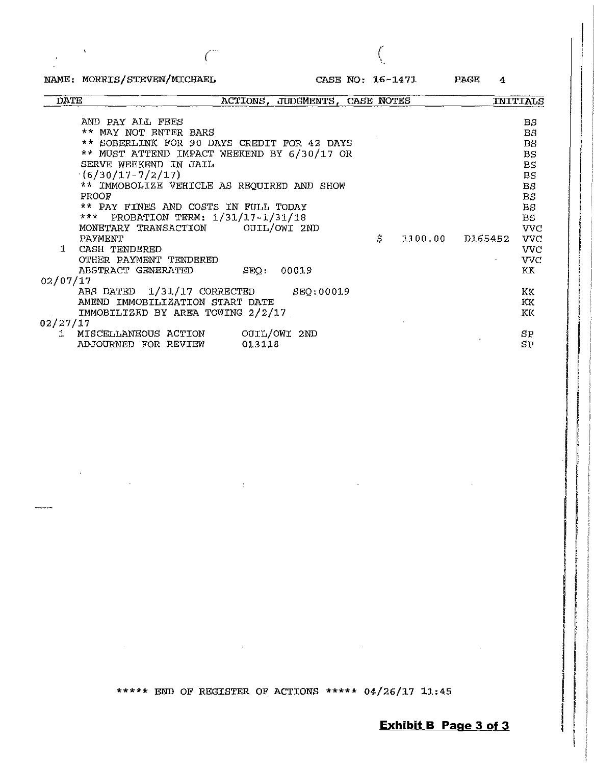$\boldsymbol{\lambda}$ 

 $\boldsymbol{\cdot}$ 

.<br>Territoria de antig

 $\sim$ 

 $\mathcal{A}^{\mathcal{A}}$  .

 $\mathbf{r}^{\prime}$ 

 $\vec{f}$ '·

/

 $\mathcal{L}^{\text{max}}_{\text{max}}$ 

NAME: MORRIS/STEVEN/MICHAEL CASE NO: 16-1471 PAGE 4

| <b>DATE</b>                          | ACTIONS, JUDGMENTS, CASE NOTES              |    |                 | <b>INITIALS</b> |
|--------------------------------------|---------------------------------------------|----|-----------------|-----------------|
| AND PAY ALL FEES                     |                                             |    |                 | BS              |
| ** MAY NOT ENTER BARS                |                                             |    |                 | <b>BS</b>       |
|                                      | ** SOBERLINK FOR 90 DAYS CREDIT FOR 42 DAYS |    |                 | <b>BS</b>       |
|                                      | ** MUST ATTEND IMPACT WEEKEND BY 6/30/17 OR |    |                 | <b>BS</b>       |
| SERVE WEEKEND IN JAIL                |                                             |    |                 | <b>BS</b>       |
| $(6/30/17 - 7/2/17)$                 |                                             |    |                 | BS              |
|                                      | ** IMMOBOLIZE VEHICLE AS REQUIRED AND SHOW  |    |                 | $_{BS}$         |
| <b>PROOF</b>                         |                                             |    |                 | <b>BS</b>       |
| ** PAY FINES AND COSTS IN FULL TODAY |                                             |    |                 | BS              |
| *** PROBATION TERM: 1/31/17-1/31/18  |                                             |    |                 | <b>BS</b>       |
| MONETARY TRANSACTION OUIL/OWI 2ND    |                                             |    |                 | VVC             |
| PAYMENT                              |                                             | \$ | 1100.00 D165452 | <b>VVC</b>      |
| CASH TENDERED                        |                                             |    |                 | <b>VVC</b>      |
| OTHER PAYMENT TENDERED               |                                             |    |                 | <b>VVC</b>      |
| ABSTRACT GENERATED                   | SEQ: 00019                                  |    |                 | KK              |
| 02/07/17                             |                                             |    |                 |                 |
|                                      | ABS DATED 1/31/17 CORRECTED SEQ:00019       |    |                 | KK              |
| AMEND IMMOBILIZATION START DATE      |                                             |    |                 | KK.             |
| IMMOBILIZED BY AREA TOWING 2/2/17    |                                             |    |                 | KK              |
| 02/27/17                             |                                             |    |                 |                 |
| 1 MISCELLANEOUS ACTION OUIL/OWI 2ND  |                                             |    | $\bullet$       | SP              |
| ADJOURNED FOR REVIEW                 | 013118                                      |    |                 | SP              |

\*\*\*\*\* END OF REGISTER OF ACTIONS \*\*\*\*\* 04/26/17 11:45

 $\pm$ 

 $\label{eq:2.1} \mathcal{L}(\mathcal{L}^{\text{max}}_{\mathcal{L}}(\mathcal{L}^{\text{max}}_{\mathcal{L}}),\mathcal{L}^{\text{max}}_{\mathcal{L}}(\mathcal{L}^{\text{max}}_{\mathcal{L}}))$ 

**Exhibit B Page 3 Of 3**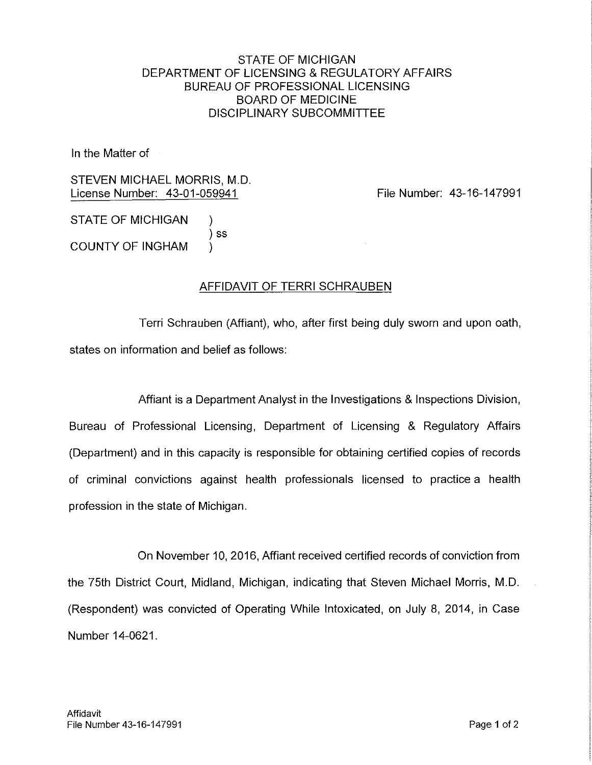# STATE OF MICHIGAN DEPARTMENT OF LICENSING & REGULATORY AFFAIRS BUREAU OF PROFESSIONAL LICENSING BOARD OF MEDICINE DISCIPLINARY SUBCOMMITTEE

In the Matter of

STEVEN MICHAEL MORRIS, M.D. License Number: 43-01-059941 File Number: 43-16-147991

STATE OF MICHIGAN ) SS COUNTY OF INGHAM )

# AFFIDAVIT OF TERRI SCHRAUBEN

Terri Schrauben (Affiant), who, after first being duly sworn and upon oath, states on information and belief as follows:

Affiant is a Department Analyst in the Investigations & Inspections Division, Bureau of Professional Licensing, Department of Licensing & Regulatory Affairs (Department) and in this capacity is responsible for obtaining certified copies of records of criminal convictions against health professionals licensed to practice a health profession in the state of Michigan.

On November 10, 2016, Affiant received certified records of conviction from the 75th District Court, Midland, Michigan, indicating that Steven Michael Morris, M.D. (Respondent) was convicted of Operating While Intoxicated, on July 8, 2014, in Case Number 14-0621.